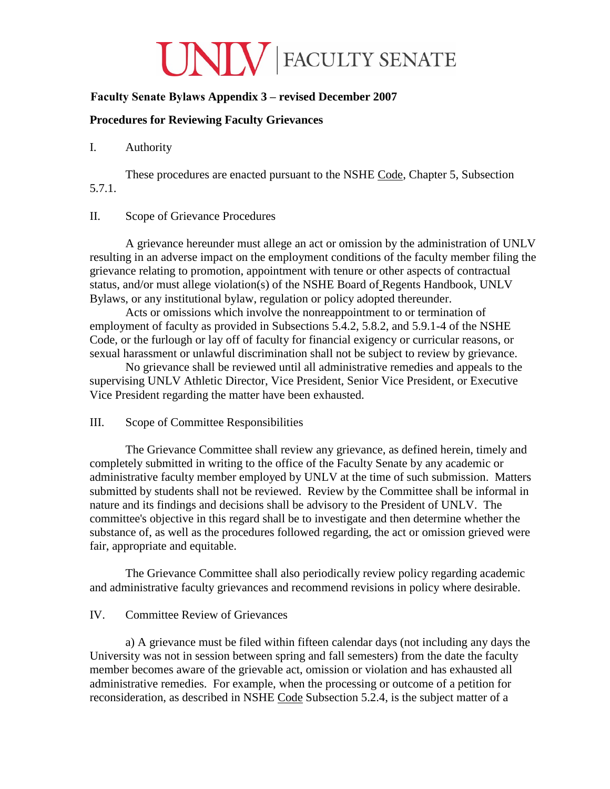# UNIV FACULTY SENATE

# **Faculty Senate Bylaws Appendix 3 – revised December 2007**

## **Procedures for Reviewing Faculty Grievances**

## I. Authority

These procedures are enacted pursuant to the NSHE Code, Chapter 5, Subsection 5.7.1.

## II. Scope of Grievance Procedures

A grievance hereunder must allege an act or omission by the administration of UNLV resulting in an adverse impact on the employment conditions of the faculty member filing the grievance relating to promotion, appointment with tenure or other aspects of contractual status, and/or must allege violation(s) of the NSHE Board of Regents Handbook, UNLV Bylaws, or any institutional bylaw, regulation or policy adopted thereunder.

Acts or omissions which involve the nonreappointment to or termination of employment of faculty as provided in Subsections 5.4.2, 5.8.2, and 5.9.1-4 of the NSHE Code, or the furlough or lay off of faculty for financial exigency or curricular reasons, or sexual harassment or unlawful discrimination shall not be subject to review by grievance.

No grievance shall be reviewed until all administrative remedies and appeals to the supervising UNLV Athletic Director, Vice President, Senior Vice President, or Executive Vice President regarding the matter have been exhausted.

#### III. Scope of Committee Responsibilities

The Grievance Committee shall review any grievance, as defined herein, timely and completely submitted in writing to the office of the Faculty Senate by any academic or administrative faculty member employed by UNLV at the time of such submission. Matters submitted by students shall not be reviewed. Review by the Committee shall be informal in nature and its findings and decisions shall be advisory to the President of UNLV. The committee's objective in this regard shall be to investigate and then determine whether the substance of, as well as the procedures followed regarding, the act or omission grieved were fair, appropriate and equitable.

The Grievance Committee shall also periodically review policy regarding academic and administrative faculty grievances and recommend revisions in policy where desirable.

## IV. Committee Review of Grievances

a) A grievance must be filed within fifteen calendar days (not including any days the University was not in session between spring and fall semesters) from the date the faculty member becomes aware of the grievable act, omission or violation and has exhausted all administrative remedies. For example, when the processing or outcome of a petition for reconsideration, as described in NSHE Code Subsection 5.2.4, is the subject matter of a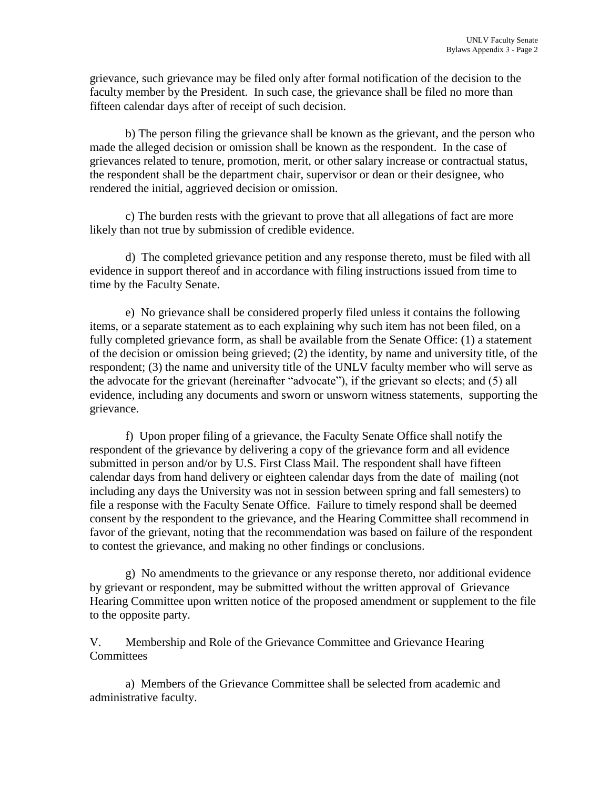grievance, such grievance may be filed only after formal notification of the decision to the faculty member by the President. In such case, the grievance shall be filed no more than fifteen calendar days after of receipt of such decision.

b) The person filing the grievance shall be known as the grievant, and the person who made the alleged decision or omission shall be known as the respondent. In the case of grievances related to tenure, promotion, merit, or other salary increase or contractual status, the respondent shall be the department chair, supervisor or dean or their designee, who rendered the initial, aggrieved decision or omission.

c) The burden rests with the grievant to prove that all allegations of fact are more likely than not true by submission of credible evidence.

d) The completed grievance petition and any response thereto, must be filed with all evidence in support thereof and in accordance with filing instructions issued from time to time by the Faculty Senate.

e) No grievance shall be considered properly filed unless it contains the following items, or a separate statement as to each explaining why such item has not been filed, on a fully completed grievance form, as shall be available from the Senate Office: (1) a statement of the decision or omission being grieved; (2) the identity, by name and university title, of the respondent; (3) the name and university title of the UNLV faculty member who will serve as the advocate for the grievant (hereinafter "advocate"), if the grievant so elects; and (5) all evidence, including any documents and sworn or unsworn witness statements, supporting the grievance.

f) Upon proper filing of a grievance, the Faculty Senate Office shall notify the respondent of the grievance by delivering a copy of the grievance form and all evidence submitted in person and/or by U.S. First Class Mail. The respondent shall have fifteen calendar days from hand delivery or eighteen calendar days from the date of mailing (not including any days the University was not in session between spring and fall semesters) to file a response with the Faculty Senate Office. Failure to timely respond shall be deemed consent by the respondent to the grievance, and the Hearing Committee shall recommend in favor of the grievant, noting that the recommendation was based on failure of the respondent to contest the grievance, and making no other findings or conclusions.

g) No amendments to the grievance or any response thereto, nor additional evidence by grievant or respondent, may be submitted without the written approval of Grievance Hearing Committee upon written notice of the proposed amendment or supplement to the file to the opposite party.

V. Membership and Role of the Grievance Committee and Grievance Hearing **Committees** 

a) Members of the Grievance Committee shall be selected from academic and administrative faculty.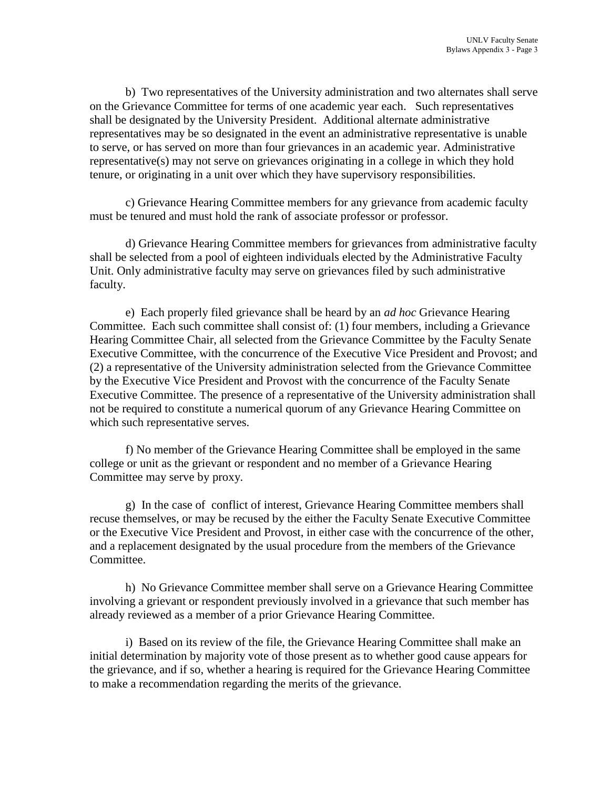b) Two representatives of the University administration and two alternates shall serve on the Grievance Committee for terms of one academic year each. Such representatives shall be designated by the University President. Additional alternate administrative representatives may be so designated in the event an administrative representative is unable to serve, or has served on more than four grievances in an academic year. Administrative representative(s) may not serve on grievances originating in a college in which they hold tenure, or originating in a unit over which they have supervisory responsibilities.

c) Grievance Hearing Committee members for any grievance from academic faculty must be tenured and must hold the rank of associate professor or professor.

d) Grievance Hearing Committee members for grievances from administrative faculty shall be selected from a pool of eighteen individuals elected by the Administrative Faculty Unit. Only administrative faculty may serve on grievances filed by such administrative faculty.

e) Each properly filed grievance shall be heard by an *ad hoc* Grievance Hearing Committee. Each such committee shall consist of: (1) four members, including a Grievance Hearing Committee Chair, all selected from the Grievance Committee by the Faculty Senate Executive Committee, with the concurrence of the Executive Vice President and Provost; and (2) a representative of the University administration selected from the Grievance Committee by the Executive Vice President and Provost with the concurrence of the Faculty Senate Executive Committee. The presence of a representative of the University administration shall not be required to constitute a numerical quorum of any Grievance Hearing Committee on which such representative serves.

f) No member of the Grievance Hearing Committee shall be employed in the same college or unit as the grievant or respondent and no member of a Grievance Hearing Committee may serve by proxy.

g) In the case of conflict of interest, Grievance Hearing Committee members shall recuse themselves, or may be recused by the either the Faculty Senate Executive Committee or the Executive Vice President and Provost, in either case with the concurrence of the other, and a replacement designated by the usual procedure from the members of the Grievance Committee.

h) No Grievance Committee member shall serve on a Grievance Hearing Committee involving a grievant or respondent previously involved in a grievance that such member has already reviewed as a member of a prior Grievance Hearing Committee.

i) Based on its review of the file, the Grievance Hearing Committee shall make an initial determination by majority vote of those present as to whether good cause appears for the grievance, and if so, whether a hearing is required for the Grievance Hearing Committee to make a recommendation regarding the merits of the grievance.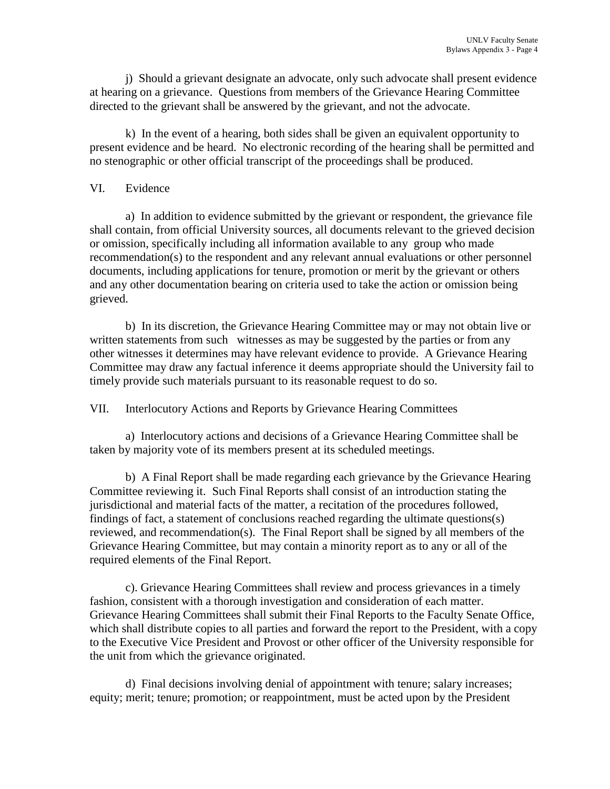j) Should a grievant designate an advocate, only such advocate shall present evidence at hearing on a grievance. Questions from members of the Grievance Hearing Committee directed to the grievant shall be answered by the grievant, and not the advocate.

k) In the event of a hearing, both sides shall be given an equivalent opportunity to present evidence and be heard. No electronic recording of the hearing shall be permitted and no stenographic or other official transcript of the proceedings shall be produced.

#### VI. Evidence

a) In addition to evidence submitted by the grievant or respondent, the grievance file shall contain, from official University sources, all documents relevant to the grieved decision or omission, specifically including all information available to any group who made recommendation(s) to the respondent and any relevant annual evaluations or other personnel documents, including applications for tenure, promotion or merit by the grievant or others and any other documentation bearing on criteria used to take the action or omission being grieved.

b) In its discretion, the Grievance Hearing Committee may or may not obtain live or written statements from such witnesses as may be suggested by the parties or from any other witnesses it determines may have relevant evidence to provide. A Grievance Hearing Committee may draw any factual inference it deems appropriate should the University fail to timely provide such materials pursuant to its reasonable request to do so.

VII. Interlocutory Actions and Reports by Grievance Hearing Committees

a) Interlocutory actions and decisions of a Grievance Hearing Committee shall be taken by majority vote of its members present at its scheduled meetings.

b) A Final Report shall be made regarding each grievance by the Grievance Hearing Committee reviewing it. Such Final Reports shall consist of an introduction stating the jurisdictional and material facts of the matter, a recitation of the procedures followed, findings of fact, a statement of conclusions reached regarding the ultimate questions(s) reviewed, and recommendation(s). The Final Report shall be signed by all members of the Grievance Hearing Committee, but may contain a minority report as to any or all of the required elements of the Final Report.

c). Grievance Hearing Committees shall review and process grievances in a timely fashion, consistent with a thorough investigation and consideration of each matter. Grievance Hearing Committees shall submit their Final Reports to the Faculty Senate Office, which shall distribute copies to all parties and forward the report to the President, with a copy to the Executive Vice President and Provost or other officer of the University responsible for the unit from which the grievance originated.

d) Final decisions involving denial of appointment with tenure; salary increases; equity; merit; tenure; promotion; or reappointment, must be acted upon by the President